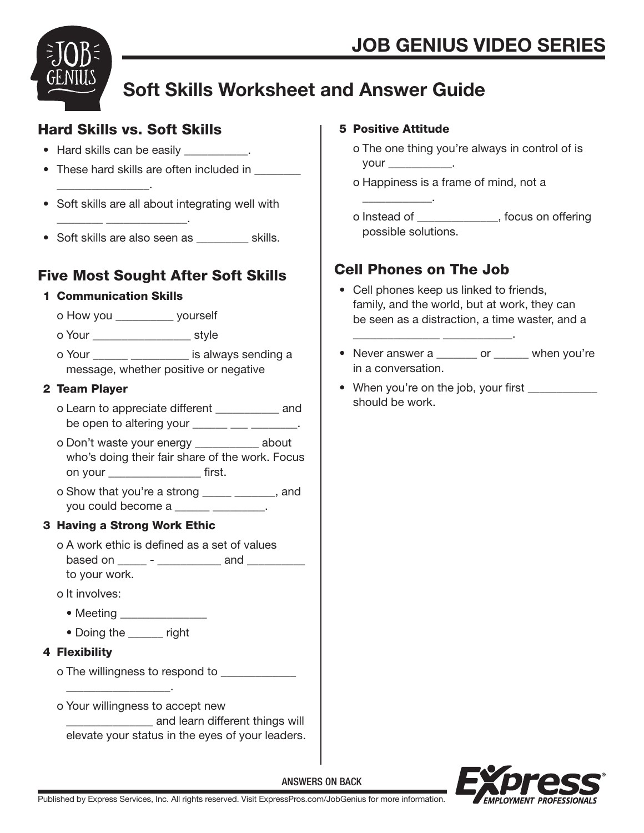

## Soft Skills Worksheet and Answer Guide

### Hard Skills vs. Soft Skills

• Hard skills can be easily \_\_\_\_\_\_\_\_\_\_\_.

 $\frac{1}{2}$  ,  $\frac{1}{2}$  ,  $\frac{1}{2}$  ,  $\frac{1}{2}$  ,  $\frac{1}{2}$  ,  $\frac{1}{2}$  ,  $\frac{1}{2}$  ,  $\frac{1}{2}$  ,  $\frac{1}{2}$  ,  $\frac{1}{2}$  ,  $\frac{1}{2}$  ,  $\frac{1}{2}$  ,  $\frac{1}{2}$  ,  $\frac{1}{2}$  ,  $\frac{1}{2}$  ,  $\frac{1}{2}$  ,  $\frac{1}{2}$  ,  $\frac{1}{2}$  ,  $\frac{1$ 

- These hard skills are often included in
- Soft skills are all about integrating well with
- Soft skills are also seen as  $\qquad \qquad$  skills.

## Five Most Sought After Soft Skills

#### 1 Communication Skills

 $\frac{1}{2}$  ,  $\frac{1}{2}$  ,  $\frac{1}{2}$  ,  $\frac{1}{2}$  ,  $\frac{1}{2}$  ,  $\frac{1}{2}$  ,  $\frac{1}{2}$  ,  $\frac{1}{2}$  ,  $\frac{1}{2}$  ,  $\frac{1}{2}$  ,  $\frac{1}{2}$  ,  $\frac{1}{2}$  ,  $\frac{1}{2}$  ,  $\frac{1}{2}$  ,  $\frac{1}{2}$  ,  $\frac{1}{2}$  ,  $\frac{1}{2}$  ,  $\frac{1}{2}$  ,  $\frac{1$ 

o How you \_\_\_\_\_\_\_\_\_\_ yourself

o Your \_\_\_\_\_\_\_\_\_\_\_\_\_\_\_\_\_ style

o Your \_\_\_\_\_\_ \_\_\_\_\_\_\_\_\_\_ is always sending a message, whether positive or negative

### 2 Team Player

- o Learn to appreciate different \_\_\_\_\_\_\_\_\_\_\_ and be open to altering your **come on the set of the set of the set of the set of the set of the set of the set of t**
- o Don't waste your energy \_\_\_\_\_\_\_\_\_\_\_ about who's doing their fair share of the work. Focus on your \_\_\_\_\_\_\_\_\_\_\_\_\_\_\_\_ first.
- o Show that you're a strong \_\_\_\_\_ \_\_\_\_\_\_\_, and you could become a \_\_\_\_\_\_\_ \_\_\_\_\_\_\_

### 3 Having a Strong Work Ethic

- o A work ethic is defined as a set of values based on  $\qquad -$  and  $\qquad$ to your work.
- o It involves:
	- Meeting \_\_\_\_\_\_\_\_\_\_\_\_\_\_\_

\_\_\_\_\_\_\_\_\_\_\_\_\_\_\_\_\_\_.

• Doing the \_\_\_\_\_\_ right

### 4 Flexibility

o The willingness to respond to

o Your willingness to accept new

 \_\_\_\_\_\_\_\_\_\_\_\_\_\_\_ and learn different things will elevate your status in the eyes of your leaders.

### 5 Positive Attitude

 $\frac{1}{\sqrt{2}}$  ,  $\frac{1}{\sqrt{2}}$  ,  $\frac{1}{\sqrt{2}}$  ,  $\frac{1}{\sqrt{2}}$  ,  $\frac{1}{\sqrt{2}}$  ,  $\frac{1}{\sqrt{2}}$  ,  $\frac{1}{\sqrt{2}}$ 

- o The one thing you're always in control of is your \_\_\_\_\_\_\_\_\_\_\_.
- o Happiness is a frame of mind, not a
- o Instead of \_\_\_\_\_\_\_\_\_\_\_\_\_\_, focus on offering possible solutions.

## Cell Phones on The Job

 $\frac{1}{2}$  ,  $\frac{1}{2}$  ,  $\frac{1}{2}$  ,  $\frac{1}{2}$  ,  $\frac{1}{2}$  ,  $\frac{1}{2}$  ,  $\frac{1}{2}$  ,  $\frac{1}{2}$  ,  $\frac{1}{2}$  ,  $\frac{1}{2}$  ,  $\frac{1}{2}$  ,  $\frac{1}{2}$  ,  $\frac{1}{2}$  ,  $\frac{1}{2}$  ,  $\frac{1}{2}$  ,  $\frac{1}{2}$  ,  $\frac{1}{2}$  ,  $\frac{1}{2}$  ,  $\frac{1$ 

- Cell phones keep us linked to friends, family, and the world, but at work, they can be seen as a distraction, a time waster, and a
- Never answer a \_\_\_\_\_\_\_ or \_\_\_\_\_ when you're in a conversation.
- When you're on the job, your first \_\_\_\_\_\_\_\_\_\_\_\_ should be work.



Published by Express Services, Inc. All rights reserved. Visit ExpressPros.com/JobGenius for more information.

ANSWERS ON BACK